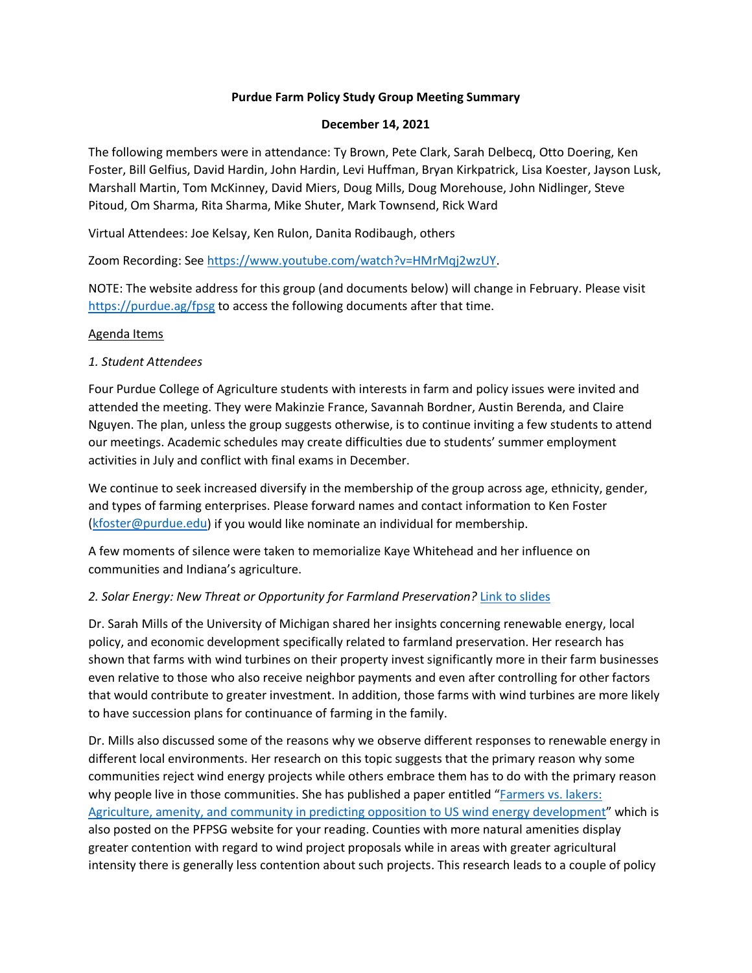# **Purdue Farm Policy Study Group Meeting Summary**

### **December 14, 2021**

The following members were in attendance: Ty Brown, Pete Clark, Sarah Delbecq, Otto Doering, Ken Foster, Bill Gelfius, David Hardin, John Hardin, Levi Huffman, Bryan Kirkpatrick, Lisa Koester, Jayson Lusk, Marshall Martin, Tom McKinney, David Miers, Doug Mills, Doug Morehouse, John Nidlinger, Steve Pitoud, Om Sharma, Rita Sharma, Mike Shuter, Mark Townsend, Rick Ward

Virtual Attendees: Joe Kelsay, Ken Rulon, Danita Rodibaugh, others

Zoom Recording: See [https://www.youtube.com/watch?v=HMrMqj2wzUY.](https://www.youtube.com/watch?v=HMrMqj2wzUY)

NOTE: The website address for this group (and documents below) will change in February. Please visit <https://purdue.ag/fpsg> to access the following documents after that time.

## Agenda Items

## *1. Student Attendees*

Four Purdue College of Agriculture students with interests in farm and policy issues were invited and attended the meeting. They were Makinzie France, Savannah Bordner, Austin Berenda, and Claire Nguyen. The plan, unless the group suggests otherwise, is to continue inviting a few students to attend our meetings. Academic schedules may create difficulties due to students' summer employment activities in July and conflict with final exams in December.

We continue to seek increased diversify in the membership of the group across age, ethnicity, gender, and types of farming enterprises. Please forward names and contact information to Ken Foster [\(kfoster@purdue.edu\)](mailto:kfoster@purdue.edu) if you would like nominate an individual for membership.

A few moments of silence were taken to memorialize Kaye Whitehead and her influence on communities and Indiana's agriculture.

## *2. Solar Energy: New Threat or Opportunity for Farmland Preservation?* [Link to slides](https://ag.purdue.edu/arge/Documents/FPSG/2021%20December/211214_Mills_presentation.pdf)

Dr. Sarah Mills of the University of Michigan shared her insights concerning renewable energy, local policy, and economic development specifically related to farmland preservation. Her research has shown that farms with wind turbines on their property invest significantly more in their farm businesses even relative to those who also receive neighbor payments and even after controlling for other factors that would contribute to greater investment. In addition, those farms with wind turbines are more likely to have succession plans for continuance of farming in the family.

Dr. Mills also discussed some of the reasons why we observe different responses to renewable energy in different local environments. Her research on this topic suggests that the primary reason why some communities reject wind energy projects while others embrace them has to do with the primary reason why people live in those communities. She has published a paper entitled "Farmers vs. lakers: [Agriculture, amenity, and community in predicting opposition to US wind energy development"](https://ag.purdue.edu/arge/Documents/FPSG/2021%20December/211214_Mills_Farmers%20v%20Lakers.pdf) which is also posted on the PFPSG website for your reading. Counties with more natural amenities display greater contention with regard to wind project proposals while in areas with greater agricultural intensity there is generally less contention about such projects. This research leads to a couple of policy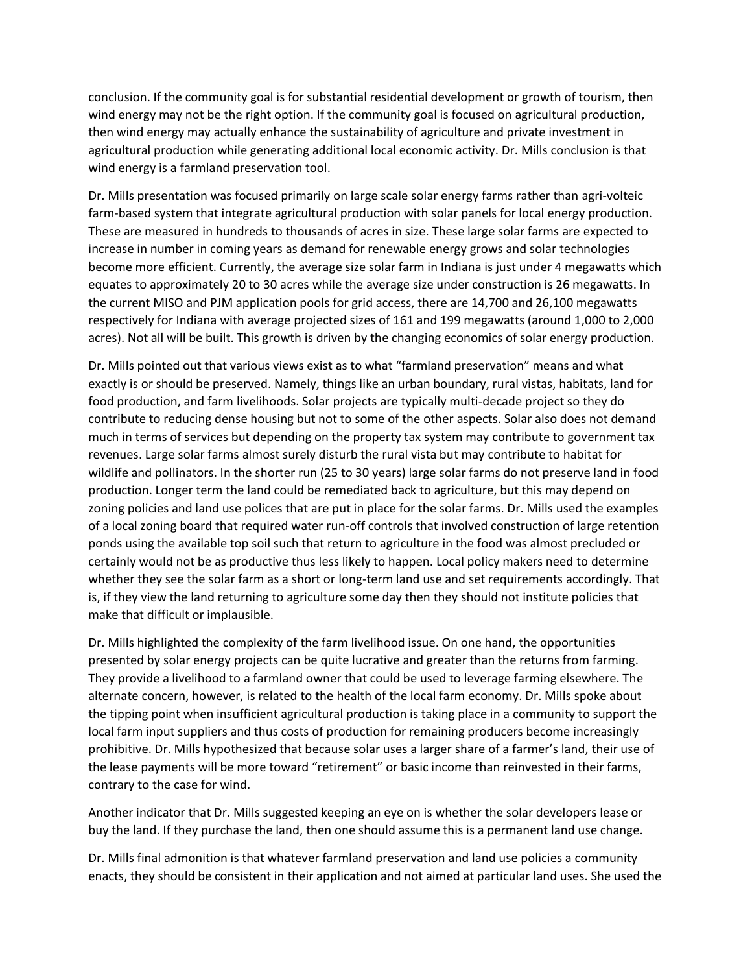conclusion. If the community goal is for substantial residential development or growth of tourism, then wind energy may not be the right option. If the community goal is focused on agricultural production, then wind energy may actually enhance the sustainability of agriculture and private investment in agricultural production while generating additional local economic activity. Dr. Mills conclusion is that wind energy is a farmland preservation tool.

Dr. Mills presentation was focused primarily on large scale solar energy farms rather than agri-volteic farm-based system that integrate agricultural production with solar panels for local energy production. These are measured in hundreds to thousands of acres in size. These large solar farms are expected to increase in number in coming years as demand for renewable energy grows and solar technologies become more efficient. Currently, the average size solar farm in Indiana is just under 4 megawatts which equates to approximately 20 to 30 acres while the average size under construction is 26 megawatts. In the current MISO and PJM application pools for grid access, there are 14,700 and 26,100 megawatts respectively for Indiana with average projected sizes of 161 and 199 megawatts (around 1,000 to 2,000 acres). Not all will be built. This growth is driven by the changing economics of solar energy production.

Dr. Mills pointed out that various views exist as to what "farmland preservation" means and what exactly is or should be preserved. Namely, things like an urban boundary, rural vistas, habitats, land for food production, and farm livelihoods. Solar projects are typically multi-decade project so they do contribute to reducing dense housing but not to some of the other aspects. Solar also does not demand much in terms of services but depending on the property tax system may contribute to government tax revenues. Large solar farms almost surely disturb the rural vista but may contribute to habitat for wildlife and pollinators. In the shorter run (25 to 30 years) large solar farms do not preserve land in food production. Longer term the land could be remediated back to agriculture, but this may depend on zoning policies and land use polices that are put in place for the solar farms. Dr. Mills used the examples of a local zoning board that required water run-off controls that involved construction of large retention ponds using the available top soil such that return to agriculture in the food was almost precluded or certainly would not be as productive thus less likely to happen. Local policy makers need to determine whether they see the solar farm as a short or long-term land use and set requirements accordingly. That is, if they view the land returning to agriculture some day then they should not institute policies that make that difficult or implausible.

Dr. Mills highlighted the complexity of the farm livelihood issue. On one hand, the opportunities presented by solar energy projects can be quite lucrative and greater than the returns from farming. They provide a livelihood to a farmland owner that could be used to leverage farming elsewhere. The alternate concern, however, is related to the health of the local farm economy. Dr. Mills spoke about the tipping point when insufficient agricultural production is taking place in a community to support the local farm input suppliers and thus costs of production for remaining producers become increasingly prohibitive. Dr. Mills hypothesized that because solar uses a larger share of a farmer's land, their use of the lease payments will be more toward "retirement" or basic income than reinvested in their farms, contrary to the case for wind.

Another indicator that Dr. Mills suggested keeping an eye on is whether the solar developers lease or buy the land. If they purchase the land, then one should assume this is a permanent land use change.

Dr. Mills final admonition is that whatever farmland preservation and land use policies a community enacts, they should be consistent in their application and not aimed at particular land uses. She used the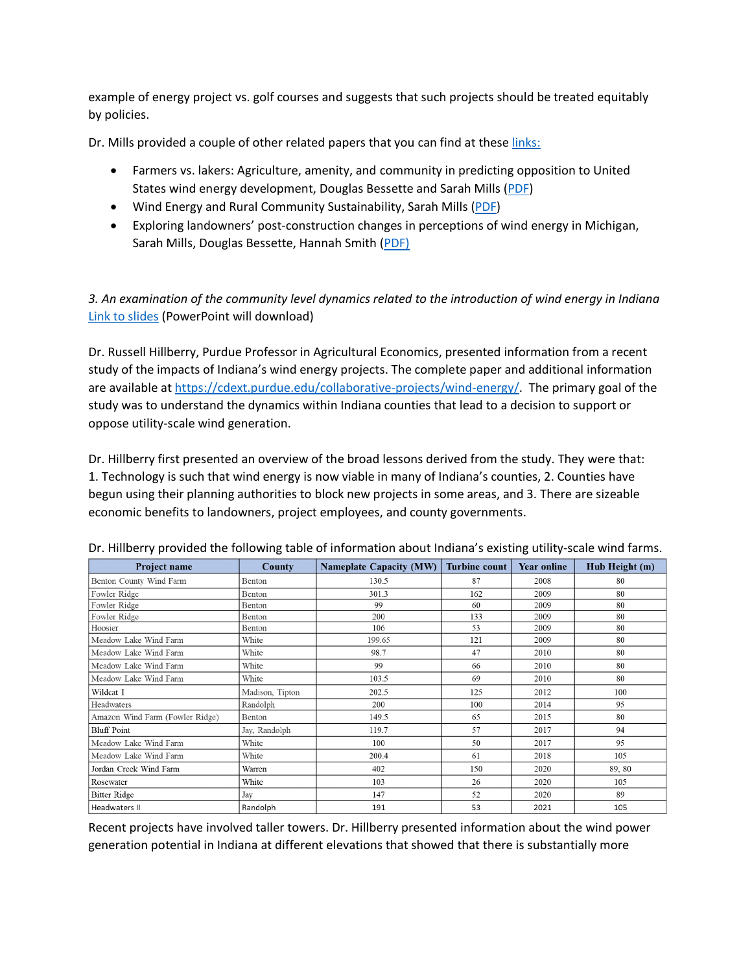example of energy project vs. golf courses and suggests that such projects should be treated equitably by policies.

Dr. Mills provided a couple of other related papers that you can find at these [links:](https://purdue.ag/fpsg)

- Farmers vs. lakers: Agriculture, amenity, and community in predicting opposition to United States wind energy development, Douglas Bessette and Sarah Mills [\(PDF\)](https://ag.purdue.edu/arge/Documents/FPSG/2021%20December/211214_Mills_Farmers%20v%20Lakers.pdf)
- Wind Energy and Rural Community Sustainability, Sarah Mills [\(PDF\)](https://ag.purdue.edu/arge/Documents/FPSG/2021%20December/211214_Mills_Wind-Energy-and-Rural-Community-Sustainability.pdf)
- Exploring landowners' post-construction changes in perceptions of wind energy in Michigan, Sarah Mills, Douglas Bessette, Hannah Smith [\(PDF\)](https://ag.purdue.edu/arge/Documents/FPSG/2021%20December/211214_Mills_Exploring-landowners.pdf)

*3. An examination of the community level dynamics related to the introduction of wind energy in Indiana* [Link to slides](https://ag.purdue.edu/arge/Documents/FPSG/2021%20December/211214_Hillberry_presentation.pptx) (PowerPoint will download)

Dr. Russell Hillberry, Purdue Professor in Agricultural Economics, presented information from a recent study of the impacts of Indiana's wind energy projects. The complete paper and additional information are available a[t https://cdext.purdue.edu/collaborative-projects/wind-energy/.](https://cdext.purdue.edu/collaborative-projects/wind-energy/) The primary goal of the study was to understand the dynamics within Indiana counties that lead to a decision to support or oppose utility-scale wind generation.

Dr. Hillberry first presented an overview of the broad lessons derived from the study. They were that: 1. Technology is such that wind energy is now viable in many of Indiana's counties, 2. Counties have begun using their planning authorities to block new projects in some areas, and 3. There are sizeable economic benefits to landowners, project employees, and county governments.

| Project name                    | County          | Nameplate Capacity (MW) Turbine count |     | <b>Year online</b> | Hub Height (m) |
|---------------------------------|-----------------|---------------------------------------|-----|--------------------|----------------|
| Benton County Wind Farm         | Benton          | 130.5                                 | 87  | 2008               | 80             |
| Fowler Ridge                    | Benton          | 301.3                                 | 162 | 2009               | 80             |
| Fowler Ridge                    | <b>Benton</b>   | 99                                    | 60  | 2009               | 80             |
| Fowler Ridge                    | Benton          | 200                                   | 133 | 2009               | 80             |
| Hoosier                         | Benton          | 106                                   | 53  | 2009               | 80             |
| Meadow Lake Wind Farm           | White           | 199.65                                | 121 | 2009               | 80             |
| Meadow Lake Wind Farm           | White           | 98.7                                  | 47  | 2010               | 80             |
| Meadow Lake Wind Farm           | White           | 99                                    | 66  | 2010               | 80             |
| Meadow Lake Wind Farm           | White           | 103.5                                 | 69  | 2010               | 80             |
| Wildcat I                       | Madison, Tipton | 202.5                                 | 125 | 2012               | 100            |
| Headwaters                      | Randolph        | 200                                   | 100 | 2014               | 95             |
| Amazon Wind Farm (Fowler Ridge) | Benton          | 149.5                                 | 65  | 2015               | 80             |
| <b>Bluff</b> Point              | Jay, Randolph   | 119.7                                 | 57  | 2017               | 94             |
| Meadow Lake Wind Farm           | White           | 100                                   | 50  | 2017               | 95             |
| Meadow Lake Wind Farm           | White           | 200.4                                 | 61  | 2018               | 105            |
| Jordan Creek Wind Farm          | Warren          | 402                                   | 150 | 2020               | 89, 80         |
| Rosewater                       | White           | 103                                   | 26  | 2020               | 105            |
| <b>Bitter Ridge</b>             | Jay             | 147                                   | 52  | 2020               | 89             |
| Headwaters II                   | Randolph        | 191                                   | 53  | 2021               | 105            |

Dr. Hillberry provided the following table of information about Indiana's existing utility-scale wind farms.

Recent projects have involved taller towers. Dr. Hillberry presented information about the wind power generation potential in Indiana at different elevations that showed that there is substantially more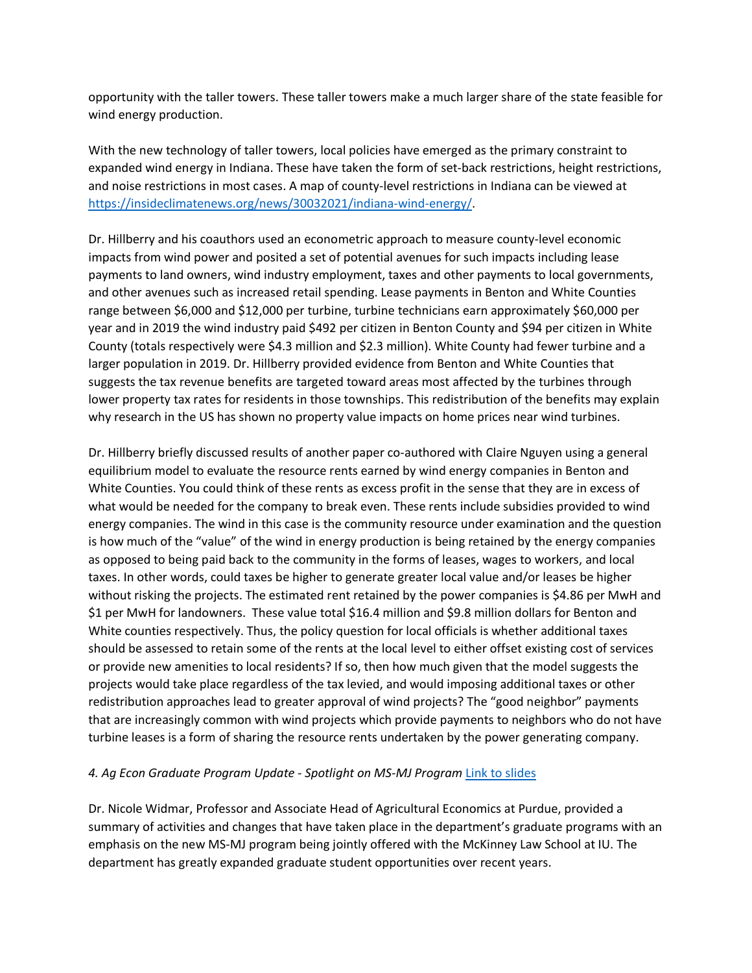opportunity with the taller towers. These taller towers make a much larger share of the state feasible for wind energy production.

With the new technology of taller towers, local policies have emerged as the primary constraint to expanded wind energy in Indiana. These have taken the form of set-back restrictions, height restrictions, and noise restrictions in most cases. A map of county-level restrictions in Indiana can be viewed at [https://insideclimatenews.org/news/30032021/indiana-wind-energy/.](https://insideclimatenews.org/news/30032021/indiana-wind-energy/)

Dr. Hillberry and his coauthors used an econometric approach to measure county-level economic impacts from wind power and posited a set of potential avenues for such impacts including lease payments to land owners, wind industry employment, taxes and other payments to local governments, and other avenues such as increased retail spending. Lease payments in Benton and White Counties range between \$6,000 and \$12,000 per turbine, turbine technicians earn approximately \$60,000 per year and in 2019 the wind industry paid \$492 per citizen in Benton County and \$94 per citizen in White County (totals respectively were \$4.3 million and \$2.3 million). White County had fewer turbine and a larger population in 2019. Dr. Hillberry provided evidence from Benton and White Counties that suggests the tax revenue benefits are targeted toward areas most affected by the turbines through lower property tax rates for residents in those townships. This redistribution of the benefits may explain why research in the US has shown no property value impacts on home prices near wind turbines.

Dr. Hillberry briefly discussed results of another paper co-authored with Claire Nguyen using a general equilibrium model to evaluate the resource rents earned by wind energy companies in Benton and White Counties. You could think of these rents as excess profit in the sense that they are in excess of what would be needed for the company to break even. These rents include subsidies provided to wind energy companies. The wind in this case is the community resource under examination and the question is how much of the "value" of the wind in energy production is being retained by the energy companies as opposed to being paid back to the community in the forms of leases, wages to workers, and local taxes. In other words, could taxes be higher to generate greater local value and/or leases be higher without risking the projects. The estimated rent retained by the power companies is \$4.86 per MwH and \$1 per MwH for landowners. These value total \$16.4 million and \$9.8 million dollars for Benton and White counties respectively. Thus, the policy question for local officials is whether additional taxes should be assessed to retain some of the rents at the local level to either offset existing cost of services or provide new amenities to local residents? If so, then how much given that the model suggests the projects would take place regardless of the tax levied, and would imposing additional taxes or other redistribution approaches lead to greater approval of wind projects? The "good neighbor" payments that are increasingly common with wind projects which provide payments to neighbors who do not have turbine leases is a form of sharing the resource rents undertaken by the power generating company.

## *4. Ag Econ Graduate Program Update - Spotlight on MS-MJ Program* [Link to slides](https://ag.purdue.edu/arge/Documents/FPSG/2021%20December/211214_Widmar_Presentation.pdf)

Dr. Nicole Widmar, Professor and Associate Head of Agricultural Economics at Purdue, provided a summary of activities and changes that have taken place in the department's graduate programs with an emphasis on the new MS-MJ program being jointly offered with the McKinney Law School at IU. The department has greatly expanded graduate student opportunities over recent years.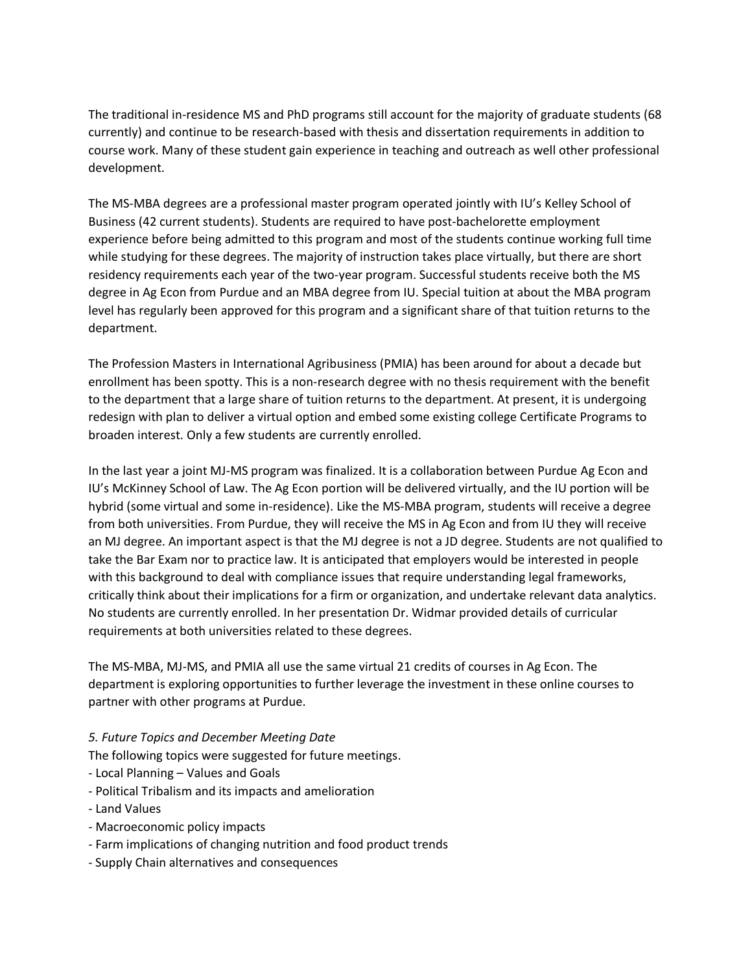The traditional in-residence MS and PhD programs still account for the majority of graduate students (68 currently) and continue to be research-based with thesis and dissertation requirements in addition to course work. Many of these student gain experience in teaching and outreach as well other professional development.

The MS-MBA degrees are a professional master program operated jointly with IU's Kelley School of Business (42 current students). Students are required to have post-bachelorette employment experience before being admitted to this program and most of the students continue working full time while studying for these degrees. The majority of instruction takes place virtually, but there are short residency requirements each year of the two-year program. Successful students receive both the MS degree in Ag Econ from Purdue and an MBA degree from IU. Special tuition at about the MBA program level has regularly been approved for this program and a significant share of that tuition returns to the department.

The Profession Masters in International Agribusiness (PMIA) has been around for about a decade but enrollment has been spotty. This is a non-research degree with no thesis requirement with the benefit to the department that a large share of tuition returns to the department. At present, it is undergoing redesign with plan to deliver a virtual option and embed some existing college Certificate Programs to broaden interest. Only a few students are currently enrolled.

In the last year a joint MJ-MS program was finalized. It is a collaboration between Purdue Ag Econ and IU's McKinney School of Law. The Ag Econ portion will be delivered virtually, and the IU portion will be hybrid (some virtual and some in-residence). Like the MS-MBA program, students will receive a degree from both universities. From Purdue, they will receive the MS in Ag Econ and from IU they will receive an MJ degree. An important aspect is that the MJ degree is not a JD degree. Students are not qualified to take the Bar Exam nor to practice law. It is anticipated that employers would be interested in people with this background to deal with compliance issues that require understanding legal frameworks, critically think about their implications for a firm or organization, and undertake relevant data analytics. No students are currently enrolled. In her presentation Dr. Widmar provided details of curricular requirements at both universities related to these degrees.

The MS-MBA, MJ-MS, and PMIA all use the same virtual 21 credits of courses in Ag Econ. The department is exploring opportunities to further leverage the investment in these online courses to partner with other programs at Purdue.

## *5. Future Topics and December Meeting Date*

The following topics were suggested for future meetings.

- Local Planning Values and Goals
- Political Tribalism and its impacts and amelioration
- Land Values
- Macroeconomic policy impacts
- Farm implications of changing nutrition and food product trends
- Supply Chain alternatives and consequences